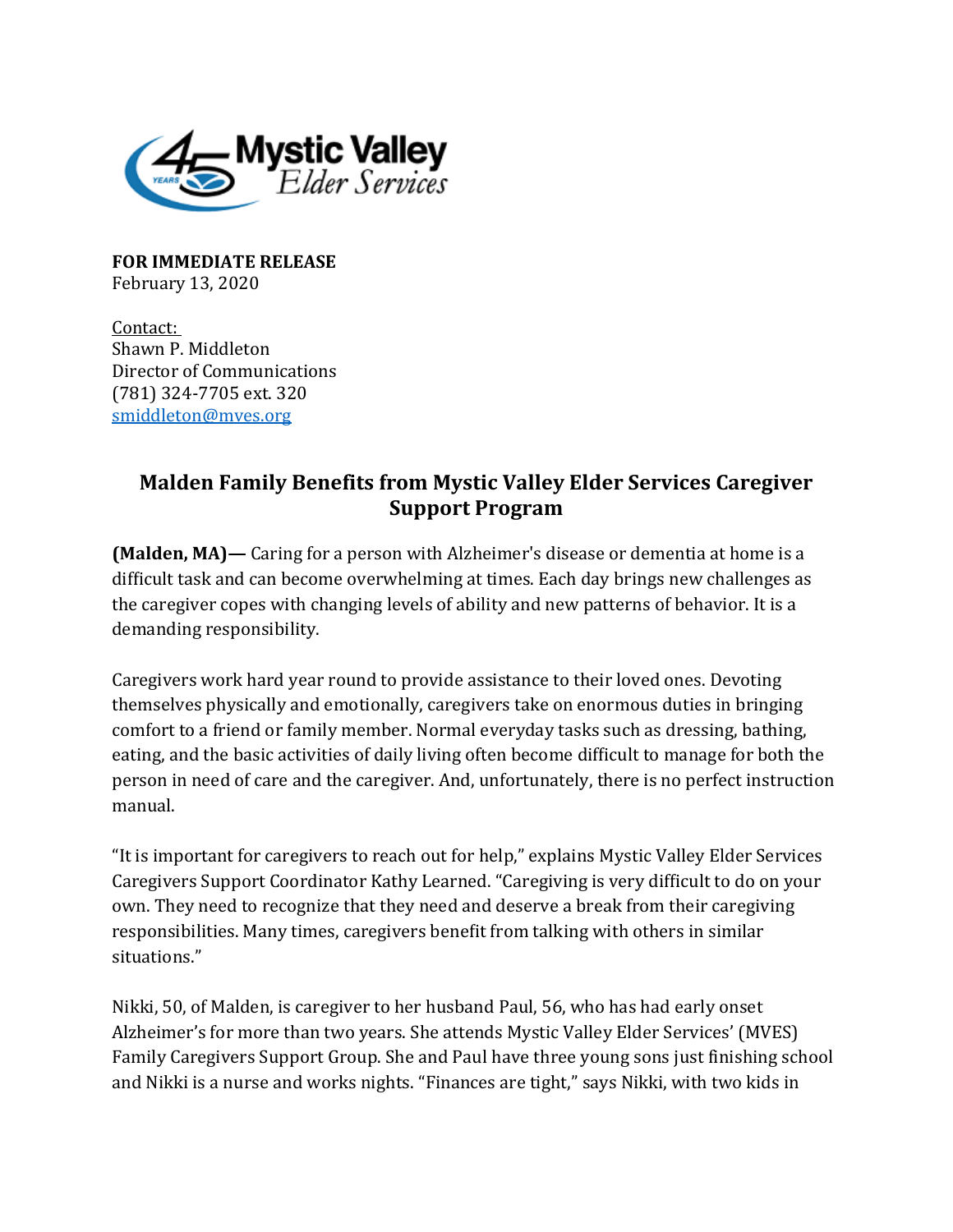

**FOR IMMEDIATE RELEASE** February 13, 2020

Contact: Shawn P. Middleton Director of Communications (781) 324-7705 ext. 320 [smiddleton@mves.org](mailto:smiddleton@mves.org) 

## **Malden Family Benefits from Mystic Valley Elder Services Caregiver Support Program**

**(Malden, MA)—** Caring for a person with Alzheimer's disease or dementia at home is a difficult task and can become overwhelming at times. Each day brings new challenges as the caregiver copes with changing levels of ability and new patterns of behavior. It is a demanding responsibility.

Caregivers work hard year round to provide assistance to their loved ones. Devoting themselves physically and emotionally, caregivers take on enormous duties in bringing comfort to a friend or family member. Normal everyday tasks such as dressing, bathing, eating, and the basic activities of daily living often become difficult to manage for both the person in need of care and the caregiver. And, unfortunately, there is no perfect instruction manual.

"It is important for caregivers to reach out for help," explains Mystic Valley Elder Services Caregivers Support Coordinator Kathy Learned. "Caregiving is very difficult to do on your own. They need to recognize that they need and deserve a break from their caregiving responsibilities. Many times, caregivers benefit from talking with others in similar situations."

Nikki, 50, of Malden, is caregiver to her husband Paul, 56, who has had early onset Alzheimer's for more than two years. She attends Mystic Valley Elder Services' (MVES) Family Caregivers Support Group. She and Paul have three young sons just finishing school and Nikki is a nurse and works nights. "Finances are tight," says Nikki, with two kids in